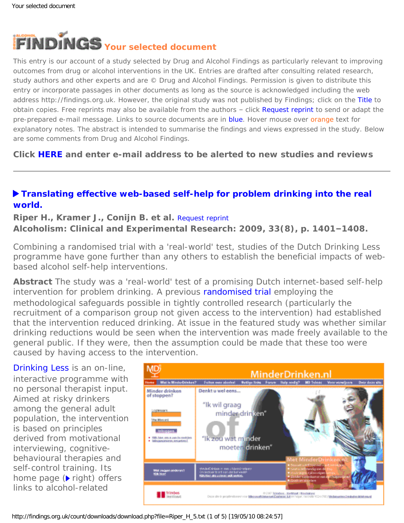<span id="page-0-0"></span>

This entry is our account of a study selected by Drug and Alcohol Findings as particularly relevant to improving outcomes from drug or alcohol interventions in the UK. Entries are drafted after consulting related research, study authors and other experts and are © Drug and Alcohol Findings. Permission is given to distribute this entry or incorporate passages in other documents as long as the source is acknowledged including the web address http://findings.org.uk. However, the original study was not published by Findings; click on the Title to obtain copies. Free reprints may also be available from the authors - click Request reprint to send or adapt the pre-prepared e-mail message. Links to source documents are in blue. Hover mouse over orange text for explanatory notes. The abstract is intended to summarise the findings and views expressed in the study. Below are some comments from Drug and Alcohol Findings.

**Click [HERE](https://findings.org.uk/index.php#signUp) and enter e-mail address to be alerted to new studies and reviews**

# **[Translating effective web-based self-help for problem drinking into the real](http://dx.doi.org/10.1111/j.1530-0277.2009.00970.x)  [world.](http://dx.doi.org/10.1111/j.1530-0277.2009.00970.x)**

## **Riper H., Kramer J., Conijn B. et al.** [Request reprint](mailto:hriper@trimbos.nl?Subject=Reprint%20request&body=Dear Dr Riper%0A%0AOn the Drug and Alcohol Findings web site (https://findings.org.uk) I read about your article:%0ARiper H., Kramer J., Conijn B. et al. Translating effective web-based self-help for problem drinking into the real world. Alcoholism: Clinical and Experimental Research: 2009, 33(8), p. 1401-1408.%0A%0AWould it be possible to for me to be sent a PDF reprint or the manuscript by return e-mail?%0A) **Alcoholism: Clinical and Experimental Research: 2009, 33(8), p. 1401–1408.**

Combining a randomised trial with a 'real-world' test, studies of the Dutch *Drinking Less* programme have gone further than any others to establish the beneficial impacts of webbased alcohol self-help interventions.

**Abstract** The study was a 'real-world' test of a promising Dutch internet-based self-help intervention for problem drinking. A previous [randomised trial](http://dx.doi.org/10.1111/j.1360-0443.2007.02063.x) employing the methodological safeguards possible in tightly controlled research (particularly the recruitment of a comparison group not given access to the intervention) had established that the intervention reduced drinking. At issue in the featured study was whether similar drinking reductions would be seen when the intervention was made freely available to the general public. If they were, then the assumption could be made that these too were caused by having access to the intervention.

*[Drinking Less](http://www.minderdrinken.nl/)* is an on-line, interactive programme with no personal therapist input. Aimed at risky drinkers among the general adult population, the intervention is based on principles derived from motivational interviewing, cognitivebehavioural therapies and self-control training. Its home page (*right*) offers links to alcohol-related

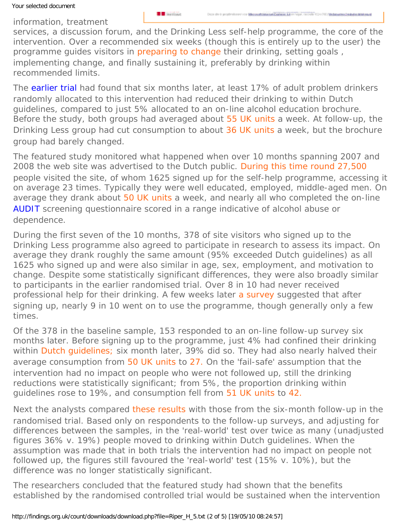**B** Instituut

information, treatment

services, a discussion forum, and the *Drinking Less* self-help programme, the core of the intervention. Over a recommended six weeks (though this is entirely up to the user) the programme quides visitors in [preparing to change](#page-0-0) their drinking, setting goals, implementing change, and finally sustaining it, preferably by drinking within recommended limits.

The [earlier trial](http://dx.doi.org/10.1111/j.1360-0443.2007.02063.x) had found that six months later, at least 17% of adult problem drinkers randomly allocated to this intervention had reduced their drinking to within Dutch guidelines, compared to just 5% allocated to an on-line alcohol education brochure. Before the study, both groups had averaged about [55 UK units](#page-0-0) a week. At follow-up, the *Drinking Less* group had cut consumption to about [36 UK units](#page-0-0) a week, but the brochure group had barely changed.

The featured study monitored what happened when over 10 months spanning 2007 and 2008 the web site was advertised to the Dutch public. [During this time round 27,500](#page-0-0)  people visited the site, of whom 1625 signed up for the self-help programme, accessing it on average 23 times. Typically they were well educated, employed, middle-aged men. On average they drank about [50 UK units](#page-0-0) a week, and nearly all who completed the on-line [AUDIT](http://whqlibdoc.who.int/hq/2001/WHO_MSD_MSB_01.6a.pdf) screening questionnaire scored in a range indicative of alcohol abuse or dependence.

During the first seven of the 10 months, 378 of site visitors who signed up to the *Drinking Less* programme also agreed to participate in research to assess its impact. On average they drank roughly the same amount (95% exceeded Dutch guidelines) as all 1625 who signed up and were also similar in age, sex, employment, and motivation to change. Despite some statistically significant differences, they were also broadly similar to participants in the earlier randomised trial. Over 8 in 10 had never received professional help for their drinking. A few weeks later [a survey](#page-0-0) suggested that after signing up, nearly 9 in 10 went on to use the programme, though generally only a few times.

Of the 378 in the baseline sample, 153 responded to an on-line follow-up survey six months later. Before signing up to the programme, just 4% had confined their drinking within [Dutch guidelines;](#page-0-0) six month later, 39% did so. They had also nearly halved their average consumption from [50 UK units](#page-0-0) to [27.](#page-0-0) On the 'fail-safe' assumption that the intervention had no impact on people who were not followed up, still the drinking reductions were statistically significant; from 5%, the proportion drinking within guidelines rose to 19%, and consumption fell from [51 UK units](#page-0-0) to [42.](#page-0-0)

Next the analysts compared [these results](#page-0-0) with those from the six-month follow-up in the randomised trial. Based only on respondents to the follow-up surveys, and adjusting for differences between the samples, in the 'real-world' test over twice as many (unadjusted figures 36% v. 19%) people moved to drinking within Dutch guidelines. When the assumption was made that in both trials the intervention had no impact on people not followed up, the figures still favoured the 'real-world' test (15% v. 10%), but the difference was no longer statistically significant.

The researchers concluded that the featured study had shown that the benefits established by the randomised controlled trial would be sustained when the intervention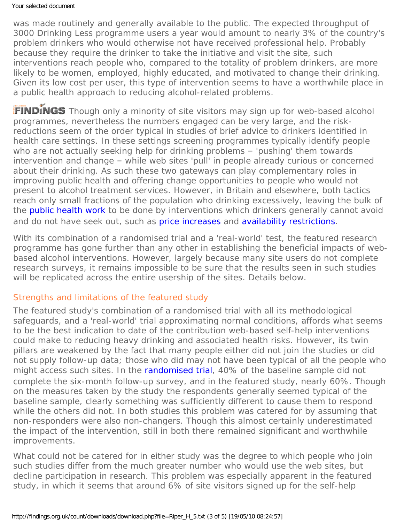was made routinely and generally available to the public. The expected throughput of 3000 *Drinking Less* programme users a year would amount to nearly 3% of the country's problem drinkers who would otherwise not have received professional help. Probably because they require the drinker to take the initiative and visit the site, such interventions reach people who, compared to the totality of problem drinkers, are more likely to be women, employed, highly educated, and motivated to change their drinking. Given its low cost per user, this type of intervention seems to have a worthwhile place in a public health approach to reducing alcohol-related problems.

FINDINGS Though only a minority of site visitors may sign up for web-based alcohol programmes, nevertheless the numbers engaged can be very large, and the riskreductions seem of the order typical in studies of brief advice to drinkers identified in health care settings. In these settings screening programmes typically identify people who are not actually seeking help for drinking problems - 'pushing' them towards intervention and change – while web sites 'pull' in people already curious or concerned about their drinking. As such these two gateways can play complementary roles in improving public health and offering change opportunities to people who would not present to alcohol treatment services. However, in Britain and elsewhere, both tactics reach only small fractions of the population who drinking excessively, leaving the bulk of the **[public health work](https://findings.org.uk/count/downloads/download.php?file=hot_alc_pop.hot)** to be done by interventions which drinkers generally cannot avoid and do not have seek out, such as [price increases](https://findings.org.uk/count/downloads/download.php?file=Meier_PS_15.txt) and [availability restrictions](https://findings.org.uk/count/downloads/download.php?file=Campbell_CA_1.txt).

With its combination of a randomised trial and a 'real-world' test, the featured research programme has gone further than any other in establishing the beneficial impacts of webbased alcohol interventions. However, largely because many site users do not complete research surveys, it remains impossible to be sure that the results seen in such studies will be replicated across the entire usership of the sites. Details below.

## Strengths and limitations of the featured study

The featured study's combination of a randomised trial with all its methodological safeguards, and a 'real-world' trial approximating normal conditions, affords what seems to be the best indication to date of the contribution web-based self-help interventions could make to reducing heavy drinking and associated health risks. However, its twin pillars are weakened by the fact that many people either did not join the studies or did not supply follow-up data; those who did may not have been typical of all the people who might access such sites. In the [randomised trial,](http://dx.doi.org/10.1111/j.1360-0443.2007.02063.x) 40% of the baseline sample did not complete the six-month follow-up survey, and in the featured study, nearly 60%. Though on the measures taken by the study the respondents generally seemed typical of the baseline sample, clearly something was sufficiently different to cause them to respond while the others did not. In both studies this problem was catered for by assuming that non-responders were also non-changers. Though this almost certainly underestimated the impact of the intervention, still in both there remained significant and worthwhile improvements.

What could not be catered for in either study was the degree to which people who join such studies differ from the much greater number who would use the web sites, but decline participation in research. This problem was especially apparent in the featured study, in which it seems that around 6% of site visitors signed up for the self-help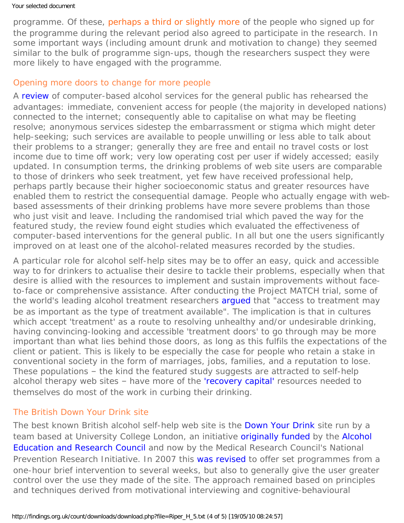programme. Of these, [perhaps a third or slightly more](#page-0-0) of the people who signed up for the programme during the relevant period also agreed to participate in the research. In some important ways (including amount drunk and motivation to change) they seemed similar to the bulk of programme sign-ups, though the researchers suspect they were more likely to have engaged with the programme.

#### Opening more doors to change for more people

A [review](http://dx.doi.org/10.1016/j.jsat.2009.11.001) of computer-based alcohol services for the general public has rehearsed the advantages: immediate, convenient access for people (the majority in developed nations) connected to the internet; consequently able to capitalise on what may be fleeting resolve; anonymous services sidestep the embarrassment or stigma which might deter help-seeking; such services are available to people unwilling or less able to talk about their problems to a stranger; generally they are free and entail no travel costs or lost income due to time off work; very low operating cost per user if widely accessed; easily updated. In consumption terms, the drinking problems of web site users are comparable to those of drinkers who seek treatment, yet few have received professional help, perhaps partly because their higher socioeconomic status and greater resources have enabled them to restrict the consequential damage. People who actually engage with webbased assessments of their drinking problems have more severe problems than those who just visit and leave. Including the randomised trial which paved the way for the featured study, the review found eight studies which evaluated the effectiveness of computer-based interventions for the general public. In all but one the users significantly improved on at least one of the alcohol-related measures recorded by the studies.

A particular role for alcohol self-help sites may be to offer an easy, quick and accessible way to for drinkers to actualise their desire to tackle their problems, especially when that desire is allied with the resources to implement and sustain improvements without faceto-face or comprehensive assistance. After conducting the Project MATCH trial, some of the world's leading alcohol treatment researchers [argued](https://findings.org.uk/count/downloads/download.php?file=Ashton_M_8.doc) that "access to treatment may be as important as the type of treatment available". The implication is that in cultures which accept 'treatment' as a route to resolving unhealthy and/or undesirable drinking, having convincing-looking and accessible 'treatment doors' to go through may be more important than what lies behind those doors, as long as this fulfils the expectations of the client or patient. This is likely to be especially the case for people who retain a stake in conventional society in the form of marriages, jobs, families, and a reputation to lose. These populations – the kind the featured study suggests are attracted to self-help alcohol therapy web sites - have more of the ['recovery capital'](http://dx.doi.org/10.1080/10826080802289762) resources needed to themselves do most of the work in curbing their drinking.

### The British Down Your Drink site

The best known British alcohol self-help web site is the [Down Your Drink](http://www.downyourdrink.org.uk/) site run by a team based at University College London, an initiative [originally funded](https://findings.org.uk/count/downloads/download.php?file=off_6_4.pdf) by the Alcohol [Education and Research Council](http://www.aerc.org.uk/) and now by the Medical Research Council's National Prevention Research Initiative. In 2007 this [was revised](http://dx.doi.org/10.1093/alcalc/agn066) to offer set programmes from a one-hour brief intervention to several weeks, but also to generally give the user greater control over the use they made of the site. The approach remained based on principles and techniques derived from motivational interviewing and cognitive-behavioural